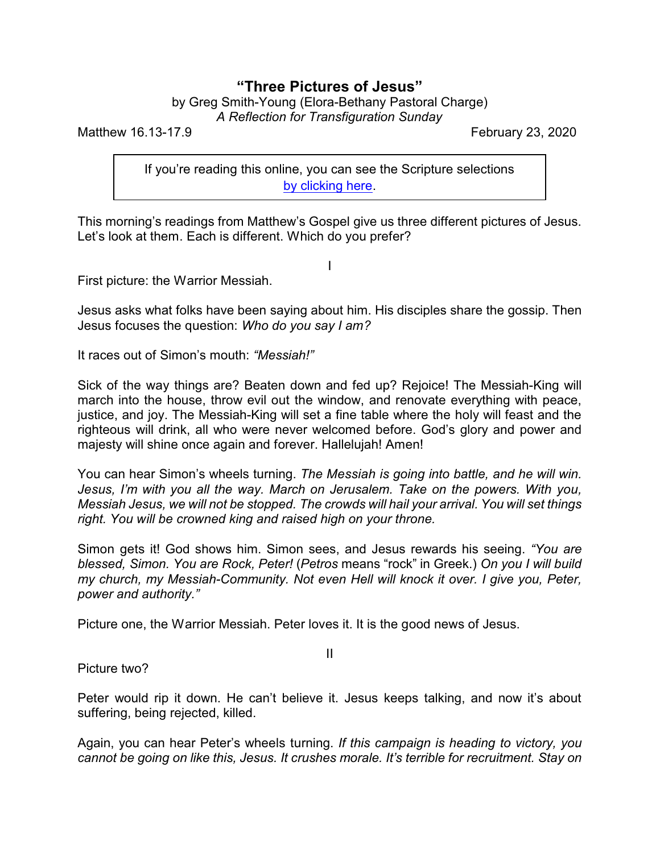## **"Three Pictures of Jesus"**

by Greg Smith-Young (Elora-Bethany Pastoral Charge) *A Reflection for Transfiguration Sunday*

Matthew 16.13-17.9 **February 23, 2020** 

If you're reading this online, you can see the Scripture selections [by clicking here](https://www.biblegateway.com/passage/?search=Matthew+16.13-17.9&version=CEB).

This morning's readings from Matthew's Gospel give us three different pictures of Jesus. Let's look at them. Each is different. Which do you prefer?

I

First picture: the Warrior Messiah.

Jesus asks what folks have been saying about him. His disciples share the gossip. Then Jesus focuses the question: *Who do you say I am?* 

It races out of Simon's mouth: *"Messiah!"*

Sick of the way things are? Beaten down and fed up? Rejoice! The Messiah-King will march into the house, throw evil out the window, and renovate everything with peace, justice, and joy. The Messiah-King will set a fine table where the holy will feast and the righteous will drink, all who were never welcomed before. God's glory and power and majesty will shine once again and forever. Hallelujah! Amen!

You can hear Simon's wheels turning. *The Messiah is going into battle, and he will win. Jesus, I'm with you all the way. March on Jerusalem. Take on the powers. With you, Messiah Jesus, we will not be stopped. The crowds will hail your arrival. You will set things right. You will be crowned king and raised high on your throne.*

Simon gets it! God shows him. Simon sees, and Jesus rewards his seeing. *"You are blessed, Simon. You are Rock, Peter!* (*Petros* means "rock" in Greek.) *On you I will build my church, my Messiah-Community. Not even Hell will knock it over. I give you, Peter, power and authority."*

Picture one, the Warrior Messiah. Peter loves it. It is the good news of Jesus.

Picture two?

Peter would rip it down. He can't believe it. Jesus keeps talking, and now it's about suffering, being rejected, killed.

Again, you can hear Peter's wheels turning. *If this campaign is heading to victory, you cannot be going on like this, Jesus. It crushes morale. It's terrible for recruitment. Stay on*

II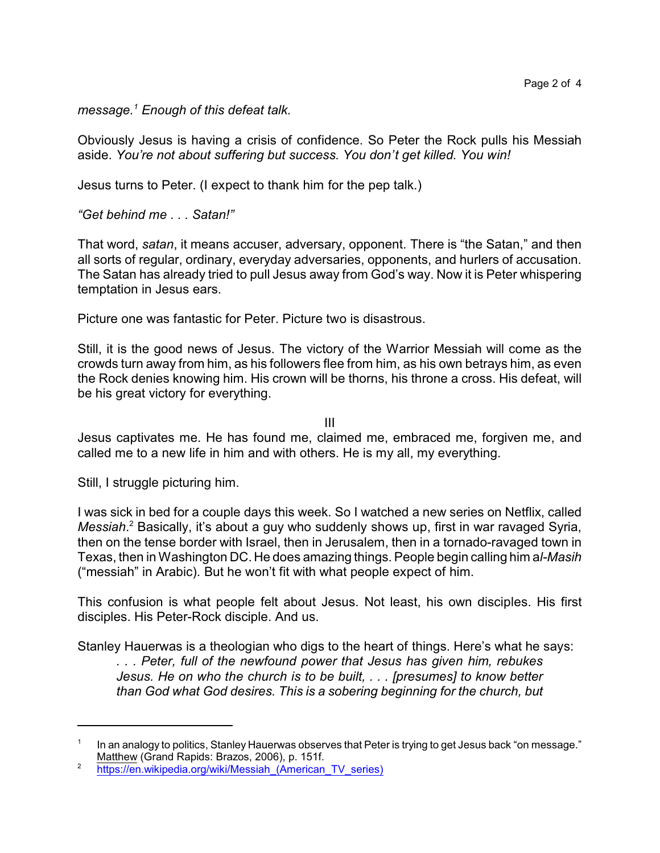*message.<sup>1</sup> Enough of this defeat talk.*

Obviously Jesus is having a crisis of confidence. So Peter the Rock pulls his Messiah aside. *You're not about suffering but success. You don't get killed. You win!*

Jesus turns to Peter. (I expect to thank him for the pep talk.)

*"Get behind me . . . Satan!"*

That word, *satan*, it means accuser, adversary, opponent. There is "the Satan," and then all sorts of regular, ordinary, everyday adversaries, opponents, and hurlers of accusation. The Satan has already tried to pull Jesus away from God's way. Now it is Peter whispering temptation in Jesus ears.

Picture one was fantastic for Peter. Picture two is disastrous.

Still, it is the good news of Jesus. The victory of the Warrior Messiah will come as the crowds turn away from him, as his followers flee from him, as his own betrays him, as even the Rock denies knowing him. His crown will be thorns, his throne a cross. His defeat, will be his great victory for everything.

III

Jesus captivates me. He has found me, claimed me, embraced me, forgiven me, and called me to a new life in him and with others. He is my all, my everything.

Still, I struggle picturing him.

I was sick in bed for a couple days this week. So I watched a new series on Netflix, called *Messiah*. <sup>2</sup> Basically, it's about a guy who suddenly shows up, first in war ravaged Syria, then on the tense border with Israel, then in Jerusalem, then in a tornado-ravaged town in Texas, then in Washington DC. He does amazing things. People begin calling him a*l-Masih* ("messiah" in Arabic)*.* But he won't fit with what people expect of him.

This confusion is what people felt about Jesus. Not least, his own disciples. His first disciples. His Peter-Rock disciple. And us.

Stanley Hauerwas is a theologian who digs to the heart of things. Here's what he says: *. . . Peter, full of the newfound power that Jesus has given him, rebukes Jesus. He on who the church is to be built, . . . [presumes] to know better than God what God desires. This is a sobering beginning for the church, but*

<sup>1</sup> In an analogy to politics, Stanley Hauerwas observes that Peter is trying to get Jesus back "on message." Matthew (Grand Rapids: Brazos, 2006), p. 151f.

<sup>2</sup> https://en.wikipedia.org/wiki/Messiah (American TV series)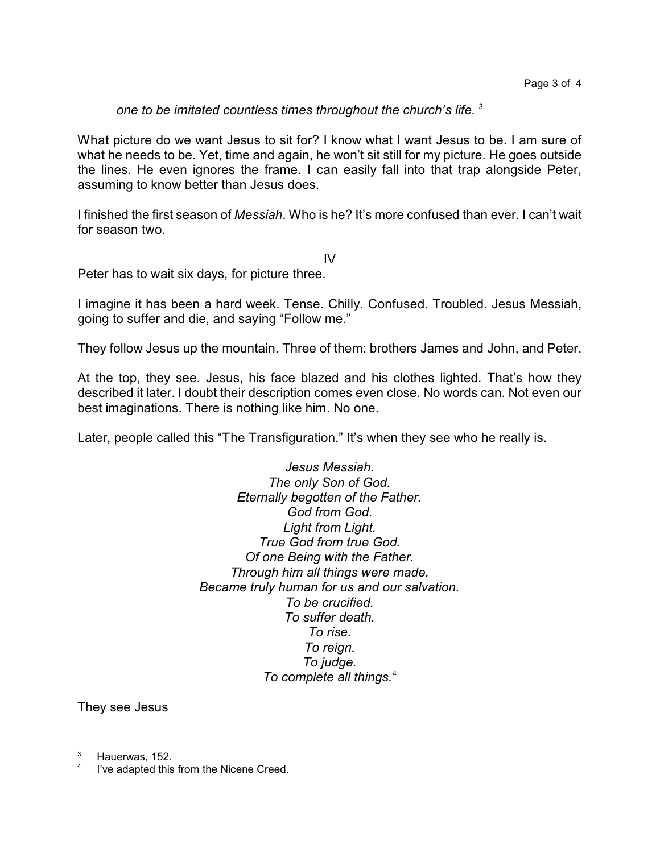*one to be imitated countless times throughout the church's life.* <sup>3</sup>

What picture do we want Jesus to sit for? I know what I want Jesus to be. I am sure of what he needs to be. Yet, time and again, he won't sit still for my picture. He goes outside the lines. He even ignores the frame. I can easily fall into that trap alongside Peter, assuming to know better than Jesus does.

I finished the first season of *Messiah*. Who is he? It's more confused than ever. I can't wait for season two.

IV

Peter has to wait six days, for picture three.

I imagine it has been a hard week. Tense. Chilly. Confused. Troubled. Jesus Messiah, going to suffer and die, and saying "Follow me."

They follow Jesus up the mountain. Three of them: brothers James and John, and Peter.

At the top, they see. Jesus, his face blazed and his clothes lighted. That's how they described it later. I doubt their description comes even close. No words can. Not even our best imaginations. There is nothing like him. No one.

Later, people called this "The Transfiguration." It's when they see who he really is.

*Jesus Messiah. The only Son of God. Eternally begotten of the Father. God from God. Light from Light. True God from true God. Of one Being with the Father. Through him all things were made. Became truly human for us and our salvation. To be crucified. To suffer death. To rise. To reign. To judge. To complete all things.*<sup>4</sup>

They see Jesus

Hauerwas, 152.

<sup>4</sup> I've adapted this from the Nicene Creed.